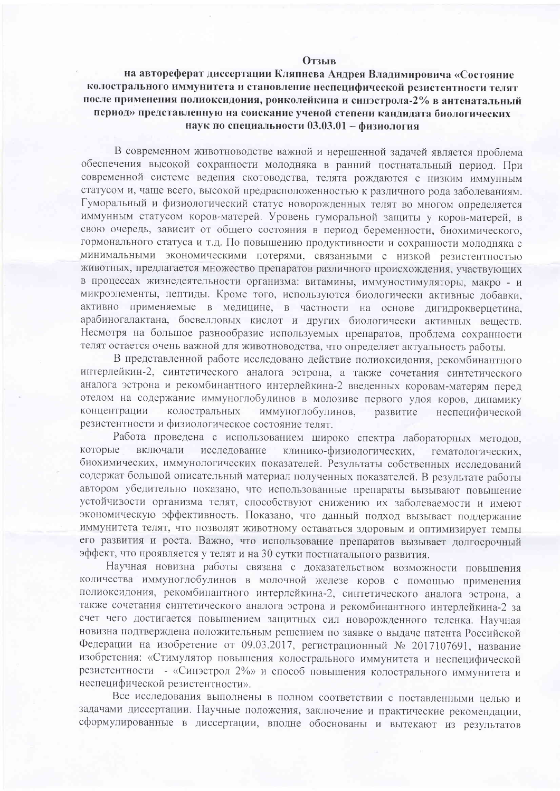## **Отзыв**

## на автореферат диссертации Кляпнева Андрея Владимировича «Состояние колострального иммунитета и становление неспецифической резистентности телят после применения полиоксидония, ронколейкина и синэстрола-2% в антенатальный период» представленную на соискание ученой степени кандидата биологических наук по специальности 03.03.01 - физиология

В современном животноводстве важной и нерешенной залачей является проблема обеспечения высокой сохранности молодняка в ранний постнатальный период. При современной системе ведения скотоводства, телята рождаются с низким иммунным статусом и, чаще всего, высокой предрасположенностью к различного рода заболеваниям. Гуморальный и физиологический статус новорожденных телят во многом определяется иммунным статусом коров-матерей. Уровень гуморальной защиты у коров-матерей, в свою очередь, зависит от общего состояния в период беременности, биохимического, гормонального статуса и т.д. По повышению продуктивности и сохранности молодняка с минимальными экономическими потерями, связанными с низкой резистентностью животных, предлагается множество препаратов различного происхождения, участвующих в процессах жизнедеятельности организма: витамины, иммуностимуляторы, макро - и микроэлементы, пептиды. Кроме того, используются биологически активные добавки, активно применяемые в медицине, в частности на основе дигидрокверцетина, арабиногалактана, босвелловых кислот и других биологически активных веществ. Несмотря на большое разнообразие используемых препаратов, проблема сохранности телят остается очень важной для животноводства, что определяет актуальность работы.

В представленной работе исследовано действие полиоксидония, рекомбинантного интерлейкин-2, синтетического аналога эстрона, а также сочетания синтетического аналога эстрона и рекомбинантного интерлейкина-2 введенных коровам-матерям перед отелом на содержание иммуноглобулинов в молозиве первого удоя коров, динамику концентрации колостральных иммуноглобулинов, развитие неспецифической резистентности и физиологическое состояние телят.

Работа проведена с использованием широко спектра лабораторных методов, которые включали исследование клинико-физиологических, гематологических. биохимических, иммунологических показателей. Результаты собственных исследований содержат большой описательный материал полученных показателей. В результате работы автором убедительно показано, что использованные препараты вызывают повышение устойчивости организма телят, способствуют снижению их заболеваемости и имеют экономическую эффективность. Показано, что данный подход вызывает поддержание иммунитета телят, что позволят животному оставаться здоровым и оптимизирует темпы его развития и роста. Важно, что использование препаратов вызывает долгосрочный эффект, что проявляется у телят и на 30 сутки постнатального развития.

Научная новизна работы связана с доказательством возможности повышения количества иммуноглобулинов в молочной железе коров с помощью применения полиоксидония, рекомбинантного интерлейкина-2, синтетического аналога эстрона, а также сочетания синтетического аналога эстрона и рекомбинантного интерлейкина-2 за счет чего достигается повышением защитных сил новорожденного теленка. Научная новизна подтверждена положительным решением по заявке о выдаче патента Российской Федерации на изобретение от 09.03.2017, регистрационный № 2017107691, название изобретения: «Стимулятор повышения колострального иммунитета и неспецифической резистентности - «Синэстрол 2%» и способ повышения колострального иммунитета и неспецифической резистентности».

Все исследования выполнены в полном соответствии с поставленными целью и задачами диссертации. Научные положения, заключение и практические рекомендации, сформулированные в диссертации, вполне обоснованы и вытекают из результатов